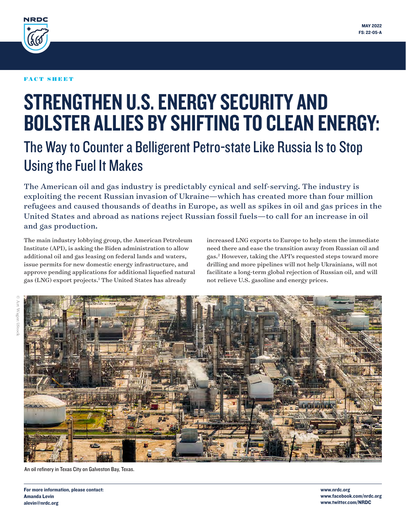<span id="page-0-0"></span>

### FACT SHEET

# STRENGTHEN U.S. ENERGY SECURITY AND BOLSTER ALLIES BY SHIFTING TO CLEAN ENERGY:

## The Way to Counter a Belligerent Petro-state Like Russia Is to Stop Using the Fuel It Makes

The American oil and gas industry is predictably cynical and self-serving. The industry is exploiting the recent Russian invasion of Ukraine—which has created more than four million refugees and caused thousands of deaths in Europe, as well as spikes in oil and gas prices in the United States and abroad as nations reject Russian fossil fuels—to call for an increase in oil and gas production.

The main industry lobbying group, the American Petroleum Institute (API), is asking the Biden administration to allow additional oil and gas leasing on federal lands and waters, issue permits for new domestic energy infrastructure, and approve pending applications for additional liquefied natural gas (LNG) export projects[.1](#page-6-0) The United States has already

increased LNG exports to Europe to help stem the immediate need there and ease the transition away from Russian oil and gas.[2](#page-6-0) However, taking the API's requested steps toward more drilling and more pipelines will not help Ukrainians, will not facilitate a long-term global rejection of Russian oil, and will not relieve U.S. gasoline and energy prices.



An oil refinery in Texas City on Galveston Bay, Texas.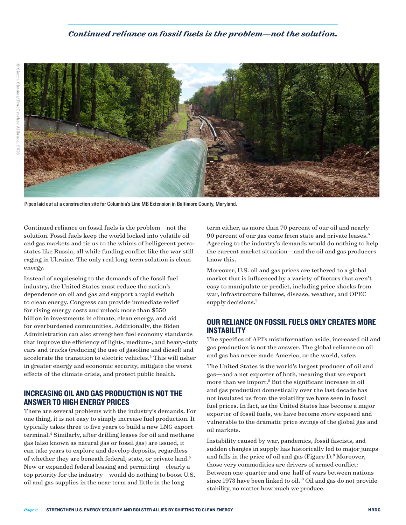### *Continued reliance on fossil fuels is the problem—not the solution.*

<span id="page-1-0"></span>

Pipes laid out at a construction site for Columbia's Line MB Extension in Baltimore County, Maryland.

Continued reliance on fossil fuels is the problem—not the solution. Fossil fuels keep the world locked into volatile oil and gas markets and tie us to the whims of belligerent petrostates like Russia, all while funding conflict like the war still raging in Ukraine. The only real long-term solution is clean energy.

Instead of acquiescing to the demands of the fossil fuel industry, the United States must reduce the nation's dependence on oil and gas and support a rapid switch to clean energy. Congress can provide immediate relief for rising energy costs and unlock more than \$550 billion in investments in climate, clean energy, and aid for overburdened communities. Additionally, the Biden Administration can also strengthen fuel economy standards that improve the efficiency of light-, medium-, and heavy-duty cars and trucks (reducing the use of gasoline and diesel) and accelerate the transition to electric vehicles.<sup>[3](#page-6-0)</sup> This will usher in greater energy and economic security, mitigate the worst effects of the climate crisis, and protect public health.

### INCREASING OIL AND GAS PRODUCTION IS NOT THE ANSWER TO HIGH ENERGY PRICES

There are several problems with the industry's demands. For one thing, it is not easy to simply increase fuel production. It typically takes three to five years to build a new LNG export terminal[.4](#page-6-0) Similarly, after drilling leases for oil and methane gas (also known as natural gas or fossil gas) are issued, it can take years to explore and develop deposits, regardless of whether they are beneath federal, state, or private land.<sup>[5](#page-6-0)</sup> New or expanded federal leasing and permitting—clearly a top priority for the industry—would do nothing to boost U.S. oil and gas supplies in the near term and little in the long

term either, as more than 70 percent of our oil and nearly 90 percent of our gas come from state and private leases.[6](#page-6-0) Agreeing to the industry's demands would do nothing to help the current market situation—and the oil and gas producers know this.

Moreover, U.S. oil and gas prices are tethered to a global market that is influenced by a variety of factors that aren't easy to manipulate or predict, including price shocks from war, infrastructure failures, disease, weather, and OPEC supply decisions.<sup>7</sup>

### OUR RELIANCE ON FOSSIL FUELS ONLY CREATES MORE INSTABILITY

The specifics of API's misinformation aside, increased oil and gas production is not the answer. The global reliance on oil and gas has never made America, or the world, safer.

The United States is the world's largest producer of oil and gas—and a net exporter of both, meaning that we export more than we import.<sup>8</sup> But the significant increase in oil and gas production domestically over the last decade has not insulated us from the volatility we have seen in fossil fuel prices. In fact, as the United States has become a major exporter of fossil fuels, we have become *more* exposed and vulnerable to the dramatic price swings of the global gas and oil markets.

Instability caused by war, pandemics, fossil fascists, and sudden changes in supply has historically led to major jumps and falls in the price of oil and gas (Figure 1).<sup>9</sup> Moreover, those very commodities are drivers of armed conflict: Between one-quarter and one-half of wars between nations since 1973 have been linked to oil.<sup>[10](#page-6-0)</sup> Oil and gas do not provide stability, no matter how much we produce.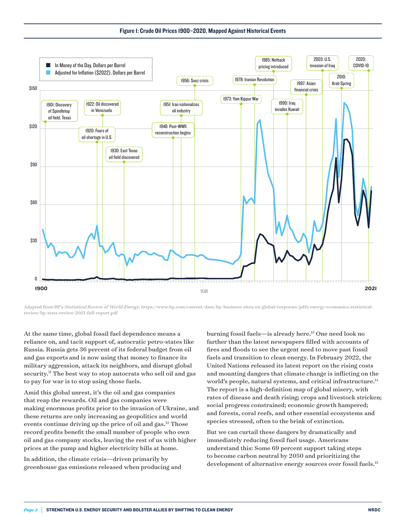Figure 1: Crude Oil Prices 1900–2020, Mapped Against Historical Events

<span id="page-2-0"></span>

Adapted from BP's *Statistical Review of World Energy*: https://www.bp.com/content/dam/bp/business-sites/en/global/corporate/pdfs/energy-economics/statisticalreview/bp-stats-review-2021-full-report.pdf

At the same time, global fossil fuel dependence means a reliance on, and tacit support of, autocratic petro-states like Russia. Russia gets 36 percent of its federal budget from oil and gas exports and is now using that money to finance its military aggression, attack its neighbors, and disrupt global security.<sup>11</sup> The best way to stop autocrats who sell oil and gas to pay for war is to stop using those fuels.

Amid this global unrest, it's the oil and gas companies that reap the rewards. Oil and gas companies were making enormous profits prior to the invasion of Ukraine, and these returns are only increasing as geopolitics and world events continue driving up the price of oil and gas.<sup>[12](#page-6-0)</sup> Those record profits benefit the small number of people who own oil and gas company stocks, leaving the rest of us with higher prices at the pump and higher electricity bills at home.

In addition, the climate crisis—driven primarily by greenhouse gas emissions released when producing and burning fossil fuels—is already here[.13](#page-6-0) One need look no farther than the latest newspapers filled with accounts of fires and floods to see the urgent need to move past fossil fuels and transition to clean energy. In February 2022, the United Nations released its latest report on the rising costs and mounting dangers that climate change is inflicting on the world's people, natural systems, and critical infrastructure.<sup>14</sup> The report is a high-definition map of global misery, with rates of disease and death rising; crops and livestock stricken; social progress constrained; economic growth hampered; and forests, coral reefs, and other essential ecosystems and species stressed, often to the brink of extinction.

But we can curtail these dangers by dramatically and immediately reducing fossil fuel usage. Americans understand this: Some 69 percent support taking steps to become carbon neutral by 2050 and prioritizing the development of alternative energy sources over fossil fuels.<sup>15</sup>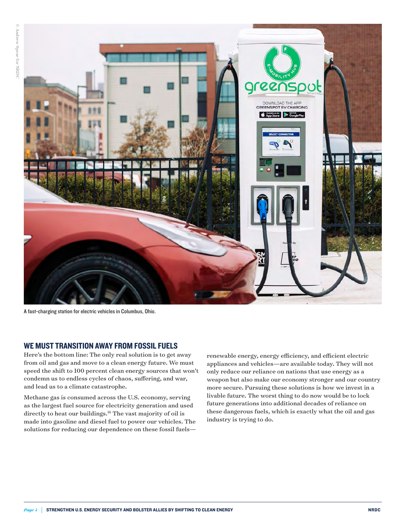<span id="page-3-0"></span>

A fast-charging station for electric vehicles in Columbus, Ohio.

### WE MUST TRANSITION AWAY FROM FOSSIL FUELS

Here's the bottom line: The only real solution is to get away from oil and gas and move to a clean energy future. We must speed the shift to 100 percent clean energy sources that won't condemn us to endless cycles of chaos, suffering, and war, and lead us to a climate catastrophe.

Methane gas is consumed across the U.S. economy, serving as the largest fuel source for electricity generation and used directly to heat our buildings.<sup>16</sup> The vast majority of oil is made into gasoline and diesel fuel to power our vehicles. The solutions for reducing our dependence on these fossil fuelsrenewable energy, energy efficiency, and efficient electric appliances and vehicles—are available today. They will not only reduce our reliance on nations that use energy as a weapon but also make our economy stronger and our country more secure. Pursuing these solutions is how we invest in a livable future. The worst thing to do now would be to lock future generations into additional decades of reliance on these dangerous fuels, which is exactly what the oil and gas industry is trying to do.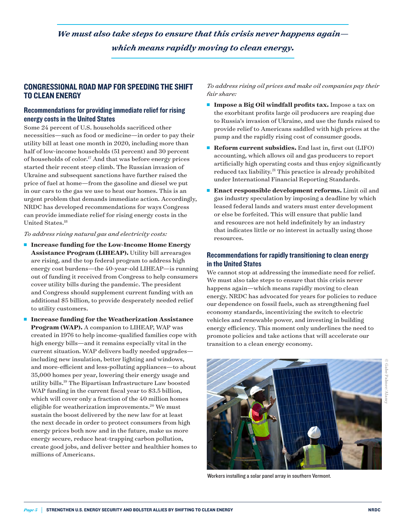### <span id="page-4-0"></span>*We must also take steps to ensure that this crisis never happens again which means rapidly moving to clean energy.*

### CONGRESSIONAL ROAD MAP FOR SPEEDING THE SHIFT TO CLEAN ENERGY

### Recommendations for providing immediate relief for rising energy costs in the United States

Some 24 percent of U.S. households sacrificed other necessities—such as food or medicine—in order to pay their utility bill at least one month in 2020, including more than half of low-income households (51 percent) and 30 percent of households of color.[17](#page-6-0) And that was before energy prices started their recent steep climb. The Russian invasion of Ukraine and subsequent sanctions have further raised the price of fuel at home—from the gasoline and diesel we put in our cars to the gas we use to heat our homes. This is an urgent problem that demands immediate action. Accordingly, NRDC has developed recommendations for ways Congress can provide immediate relief for rising energy costs in the United States.<sup>[18](#page-6-0)</sup>

### *To address rising natural gas and electricity costs:*

- Increase funding for the Low-Income Home Energy **Assistance Program (LIHEAP).** Utility bill arrearages are rising, and the top federal program to address high energy cost burdens—the 40-year-old LIHEAP—is running out of funding it received from Congress to help consumers cover utility bills during the pandemic. The president and Congress should supplement current funding with an additional \$5 billion, to provide desperately needed relief to utility customers.
- Increase funding for the Weatherization Assistance **Program (WAP).** A companion to LIHEAP, WAP was created in 1976 to help income-qualified families cope with high energy bills—and it remains especially vital in the current situation. WAP delivers badly needed upgrades including new insulation, better lighting and windows, and more-efficient and less-polluting appliances—to about 35,000 homes per year, lowering their energy usage and utility bills.[19](#page-6-0) The Bipartisan Infrastructure Law boosted WAP funding in the current fiscal year to \$3.5 billion, which will cover only a fraction of the 40 million homes eligible for weatherization improvements.<sup>20</sup> We must sustain the boost delivered by the new law for at least the next decade in order to protect consumers from high energy prices both now and in the future, make us more energy secure, reduce heat-trapping carbon pollution, create good jobs, and deliver better and healthier homes to millions of Americans.

*To address rising oil prices and make oil companies pay their fair share:*

- **Impose a Big Oil windfall profits tax.** Impose a tax on the exorbitant profits large oil producers are reaping due to Russia's invasion of Ukraine, and use the funds raised to provide relief to Americans saddled with high prices at the pump and the rapidly rising cost of consumer goods.
- <sup>n</sup> **Reform current subsidies.** End last in, first out (LIFO) accounting, which allows oil and gas producers to report artificially high operating costs and thus enjoy significantly reduced tax liability.<sup>21</sup> This practice is already prohibited under International Financial Reporting Standards.
- <sup>n</sup> **Enact responsible development reforms.** Limit oil and gas industry speculation by imposing a deadline by which leased federal lands and waters must enter development or else be forfeited. This will ensure that public land and resources are not held indefinitely by an industry that indicates little or no interest in actually using those resources.

### Recommendations for rapidly transitioning to clean energy in the United States

We cannot stop at addressing the immediate need for relief. We must also take steps to ensure that this crisis never happens again—which means rapidly moving to clean energy. NRDC has advocated for years for policies to reduce our dependence on fossil fuels, such as strengthening fuel economy standards, incentivizing the switch to electric vehicles and renewable power, and investing in building energy efficiency. This moment only underlines the need to promote policies and take actions that will accelerate our transition to a clean energy economy.



Workers installing a solar panel array in southern Vermont.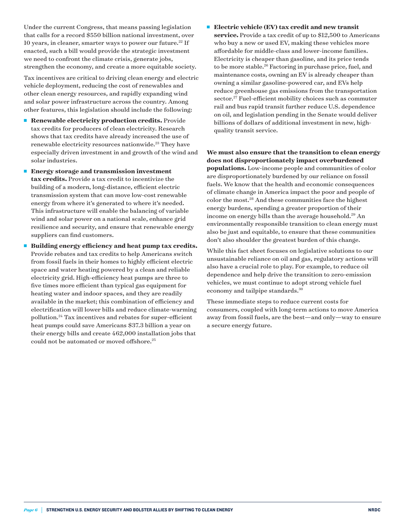that calls for a record \$550 billion national investment, over 10 years, in cleaner, smarter ways to power our future.<sup>22</sup> If enacted, such a bill would provide the strategic investment we need to confront the climate crisis, generate jobs, strengthen the economy, and create a more equitable society.

<span id="page-5-0"></span>Under the current Congress, that means passing legislation

Tax incentives are critical to driving clean energy and electric vehicle deployment, reducing the cost of renewables and other clean energy resources, and rapidly expanding wind and solar power infrastructure across the country. Among other features, this legislation should include the following:

- **n Renewable electricity production credits.** Provide tax credits for producers of clean electricity. Research shows that tax credits have already increased the use of renewable electricity resources nationwide.<sup>23</sup> They have especially driven investment in and growth of the wind and solar industries.
- **Energy storage and transmission investment tax credits.** Provide a tax credit to incentivize the building of a modern, long-distance, efficient electric transmission system that can move low-cost renewable energy from where it's generated to where it's needed. This infrastructure will enable the balancing of variable wind and solar power on a national scale, enhance grid resilience and security, and ensure that renewable energy suppliers can find customers.
- <sup>n</sup> **Building energy efficiency and heat pump tax credits.** Provide rebates and tax credits to help Americans switch from fossil fuels in their homes to highly efficient electric space and water heating powered by a clean and reliable electricity grid. High-efficiency heat pumps are three to five times more efficient than typical gas equipment for heating water and indoor spaces, and they are readily available in the market; this combination of efficiency and electrification will lower bills and reduce climate-warming pollution[.24](#page-6-0) Tax incentives and rebates for super-efficient heat pumps could save Americans \$37.3 billion a year on their energy bills and create 462,000 installation jobs that could not be automated or moved offshore.<sup>[25](#page-6-0)</sup>

■ **Electric vehicle (EV) tax credit and new transit service.** Provide a tax credit of up to \$12,500 to Americans who buy a new or used EV, making these vehicles more affordable for middle-class and lower-income families. Electricity is cheaper than gasoline, and its price tends to be more stable.<sup>26</sup> Factoring in purchase price, fuel, and maintenance costs, owning an EV is already cheaper than owning a similar gasoline-powered car, and EVs help reduce greenhouse gas emissions from the transportation sector.<sup>[27](#page-6-0)</sup> Fuel-efficient mobility choices such as commuter rail and bus rapid transit further reduce U.S. dependence on oil, and legislation pending in the Senate would deliver billions of dollars of additional investment in new, highquality transit service.

**We must also ensure that the transition to clean energy does not disproportionately impact overburdened populations.** Low-income people and communities of color are disproportionately burdened by our reliance on fossil fuels. We know that the health and economic consequences of climate change in America impact the poor and people of color the most[.28](#page-6-0) And these communities face the highest energy burdens, spending a greater proportion of their income on energy bills than the average household.<sup>[29](#page-6-0)</sup> An environmentally responsible transition to clean energy must also be just and equitable, to ensure that these communities don't also shoulder the greatest burden of this change.

While this fact sheet focuses on legislative solutions to our unsustainable reliance on oil and gas, regulatory actions will also have a crucial role to play. For example, to reduce oil dependence and help drive the transition to zero-emission vehicles, we must continue to adopt strong vehicle fuel economy and tailpipe standards.<sup>[30](#page-6-0)</sup>

These immediate steps to reduce current costs for consumers, coupled with long-term actions to move America away from fossil fuels, are the best—and only—way to ensure a secure energy future.